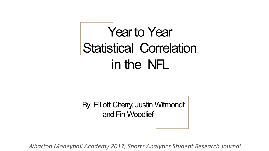## Yearto Year Statistical Correlation in the NFL

By: Elliott Cherry, Justin Witmondt and Fin Woodlief

*Wharton Moneyball Academy 2017, Sports Analytics Student Research Journal*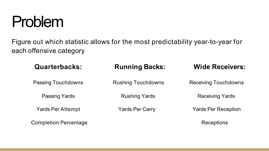

Figure out which statistic allows for the most predictability year-to-year for each offensive category

| <b>Quarterbacks:</b>         | <b>Running Backs:</b>     | <b>Wide Receivers:</b>      |
|------------------------------|---------------------------|-----------------------------|
| <b>Passing Touchdowns</b>    | <b>Rushing Touchdowns</b> | <b>Receiving Touchdowns</b> |
| <b>Passing Yards</b>         | <b>Rushing Yards</b>      | <b>Receiving Yards</b>      |
| <b>Yards Per Attempt</b>     | <b>Yards Per Carry</b>    | <b>Yards Per Reception</b>  |
| <b>Completion Percentage</b> |                           | Receptions                  |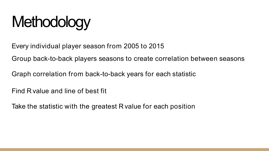## **Methodology**

Every individual player season from 2005 to 2015

Group back-to-back players seasons to create correlation between seasons

Graph correlation from back-to-back years for each statistic

Find R value and line of best fit

Take the statistic with the greatest R value for each position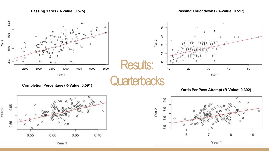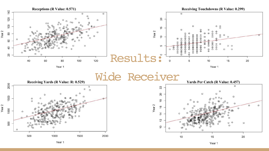

Year 1

Year 1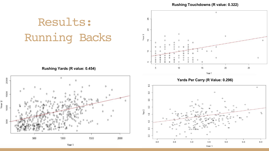**Rushing Touchdowns (R value: 0.322)**



Year 1

Year 1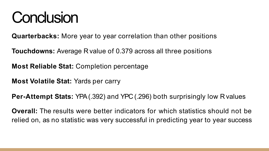## **Conclusion**

**Quarterbacks:** More year to year correlation than other positions

**Touchdowns:** Average R value of 0.379 across all three positions

**Most Reliable Stat:** Completion percentage

**Most Volatile Stat:** Yards per carry

**Per-Attempt Stats:** YPA(.392) and YPC (.296) both surprisingly low R values

**Overall:** The results were better indicators for which statistics should not be relied on, as no statistic was very successful in predicting year to year success